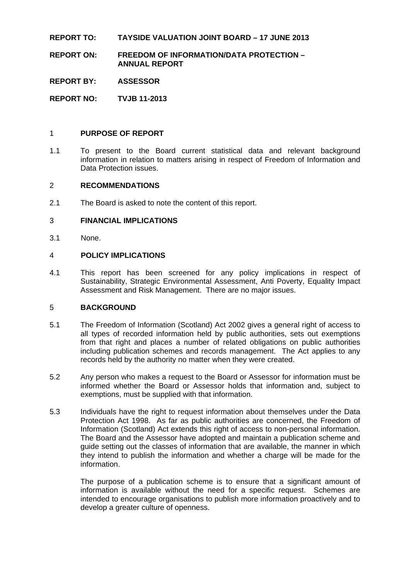## **REPORT TO: TAYSIDE VALUATION JOINT BOARD – 17 JUNE 2013**

**REPORT ON: FREEDOM OF INFORMATION/DATA PROTECTION – ANNUAL REPORT** 

**REPORT BY: ASSESSOR** 

**REPORT NO: TVJB 11-2013** 

#### 1 **PURPOSE OF REPORT**

1.1 To present to the Board current statistical data and relevant background information in relation to matters arising in respect of Freedom of Information and Data Protection issues.

#### 2 **RECOMMENDATIONS**

2.1 The Board is asked to note the content of this report.

#### 3 **FINANCIAL IMPLICATIONS**

3.1 None.

### 4 **POLICY IMPLICATIONS**

4.1 This report has been screened for any policy implications in respect of Sustainability, Strategic Environmental Assessment, Anti Poverty, Equality Impact Assessment and Risk Management. There are no major issues.

## 5 **BACKGROUND**

- 5.1 The Freedom of Information (Scotland) Act 2002 gives a general right of access to all types of recorded information held by public authorities, sets out exemptions from that right and places a number of related obligations on public authorities including publication schemes and records management. The Act applies to any records held by the authority no matter when they were created.
- 5.2 Any person who makes a request to the Board or Assessor for information must be informed whether the Board or Assessor holds that information and, subject to exemptions, must be supplied with that information.
- 5.3 Individuals have the right to request information about themselves under the Data Protection Act 1998. As far as public authorities are concerned, the Freedom of Information (Scotland) Act extends this right of access to non-personal information. The Board and the Assessor have adopted and maintain a publication scheme and guide setting out the classes of information that are available, the manner in which they intend to publish the information and whether a charge will be made for the information.

 The purpose of a publication scheme is to ensure that a significant amount of information is available without the need for a specific request. Schemes are intended to encourage organisations to publish more information proactively and to develop a greater culture of openness.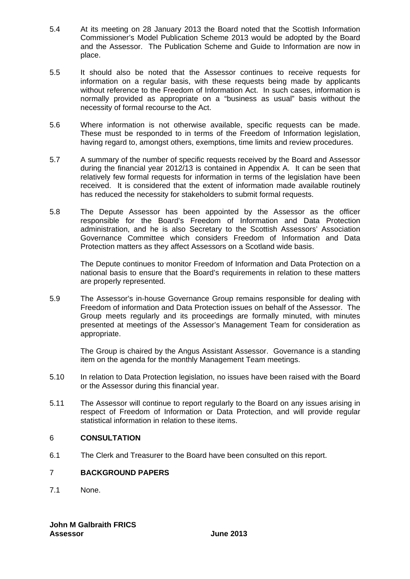- 5.4 At its meeting on 28 January 2013 the Board noted that the Scottish Information Commissioner's Model Publication Scheme 2013 would be adopted by the Board and the Assessor. The Publication Scheme and Guide to Information are now in place.
- 5.5 It should also be noted that the Assessor continues to receive requests for information on a regular basis, with these requests being made by applicants without reference to the Freedom of Information Act. In such cases, information is normally provided as appropriate on a "business as usual" basis without the necessity of formal recourse to the Act.
- 5.6 Where information is not otherwise available, specific requests can be made. These must be responded to in terms of the Freedom of Information legislation, having regard to, amongst others, exemptions, time limits and review procedures.
- 5.7 A summary of the number of specific requests received by the Board and Assessor during the financial year 2012/13 is contained in Appendix A. It can be seen that relatively few formal requests for information in terms of the legislation have been received. It is considered that the extent of information made available routinely has reduced the necessity for stakeholders to submit formal requests.
- 5.8 The Depute Assessor has been appointed by the Assessor as the officer responsible for the Board's Freedom of Information and Data Protection administration, and he is also Secretary to the Scottish Assessors' Association Governance Committee which considers Freedom of Information and Data Protection matters as they affect Assessors on a Scotland wide basis.

The Depute continues to monitor Freedom of Information and Data Protection on a national basis to ensure that the Board's requirements in relation to these matters are properly represented.

5.9 The Assessor's in-house Governance Group remains responsible for dealing with Freedom of information and Data Protection issues on behalf of the Assessor. The Group meets regularly and its proceedings are formally minuted, with minutes presented at meetings of the Assessor's Management Team for consideration as appropriate.

 The Group is chaired by the Angus Assistant Assessor. Governance is a standing item on the agenda for the monthly Management Team meetings.

- 5.10 In relation to Data Protection legislation, no issues have been raised with the Board or the Assessor during this financial year.
- 5.11 The Assessor will continue to report regularly to the Board on any issues arising in respect of Freedom of Information or Data Protection, and will provide regular statistical information in relation to these items.

## 6 **CONSULTATION**

6.1 The Clerk and Treasurer to the Board have been consulted on this report.

# 7 **BACKGROUND PAPERS**

7.1 None.